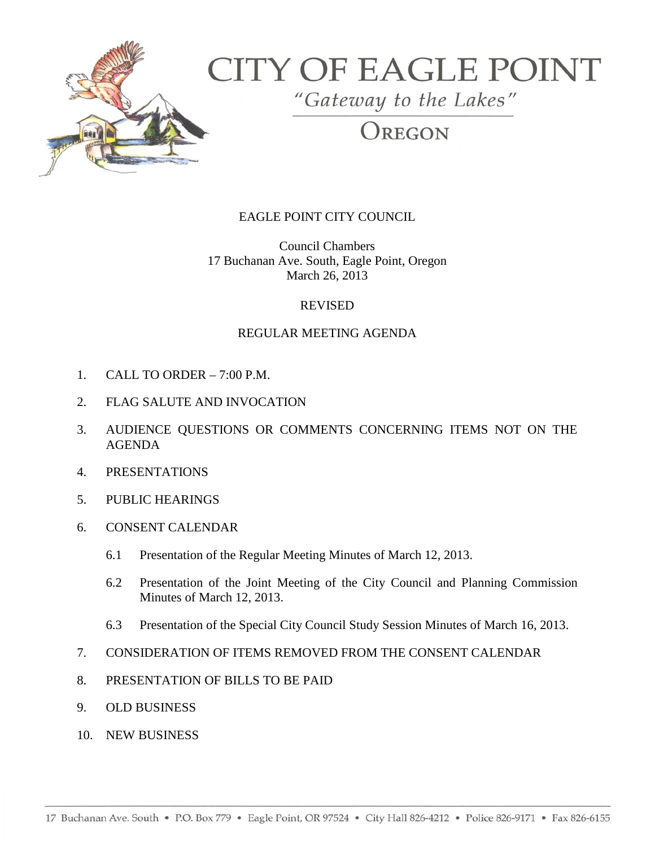

# **CITY OF EAGLE POINT**

"Gateway to the Lakes"

# OREGON

# EAGLE POINT CITY COUNCIL

Council Chambers 17 Buchanan Ave. South, Eagle Point, Oregon March 26, 2013

### REVISED

## REGULAR MEETING AGENDA

- 1. CALL TO ORDER 7:00 P.M.
- 2. FLAG SALUTE AND INVOCATION
- 3. AUDIENCE QUESTIONS OR COMMENTS CONCERNING ITEMS NOT ON THE AGENDA
- 4. PRESENTATIONS
- 5. PUBLIC HEARINGS
- 6. CONSENT CALENDAR
	- 6.1 Presentation of the Regular Meeting Minutes of March 12, 2013.
	- 6.2 Presentation of the Joint Meeting of the City Council and Planning Commission Minutes of March 12, 2013.
	- 6.3 Presentation of the Special City Council Study Session Minutes of March 16, 2013.
- 7. CONSIDERATION OF ITEMS REMOVED FROM THE CONSENT CALENDAR
- 8. PRESENTATION OF BILLS TO BE PAID
- 9. OLD BUSINESS
- 10. NEW BUSINESS